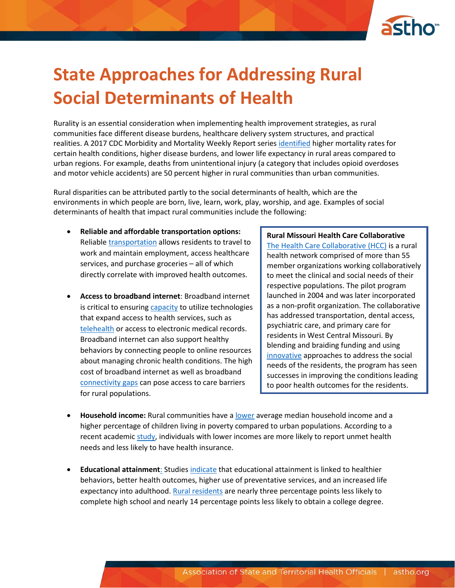

## **State Approaches for Addressing Rural Social Determinants of Health**

Rurality is an essential consideration when implementing health improvement strategies, as rural communities face different disease burdens, healthcare delivery system structures, and practical realities. A 2017 CDC Morbidity and Mortality Weekly Report series [identified](https://www.cdc.gov/media/releases/2017/p0112-rural-death-risk.html) higher mortality rates for certain health conditions, higher disease burdens, and lower life expectancy in rural areas compared to urban regions. For example, deaths from unintentional injury (a category that includes opioid overdoses and motor vehicle accidents) are 50 percent higher in rural communities than urban communities.

Rural disparities can be attributed partly to the social determinants of health, which are the environments in which people are born, live, learn, work, play, worship, and age. Examples of social determinants of health that impact rural communities include the following:

- **Reliable and affordable transportation options:**  Reliable [transportation](https://www.ruralhealthinfo.org/topics/transportation) allows residents to travel to work and maintain employment, access healthcare services, and purchase groceries – all of which directly correlate with improved health outcomes.
- **Access to broadband internet**: Broadband internet is critical to ensuring [capacity](https://news.aamc.org/patient-care/article/telehealth-health-care-disparity-gap/) to utilize technologies that expand access to health services, such as [telehealth](https://www.telehealthpolicy.us/) or access to electronic medical records. Broadband internet can also support healthy behaviors by connecting people to online resources about managing chronic health conditions. The high cost of broadband internet as well as broadband [connectivity gaps](https://www.brookings.edu/blog/usc-brookings-schaeffer-on-health-policy/2015/04/01/closing-the-rural-health-connectivity-gap-how-broadband-funding-can-improve-care/) can pose access to care barriers for rural populations.

**Rural Missouri Health Care Collaborative** [The Health Care Collaborative \(HCC\)](https://hccnetwork.org/) is a rural health network comprised of more than 55 member organizations working collaboratively to meet the clinical and social needs of their respective populations. The pilot program launched in 2004 and was later incorporated as a non-profit organization. The collaborative has addressed transportation, dental access, psychiatric care, and primary care for residents in West Central Missouri. By blending and braiding funding and using [innovative](https://ruralhealthvalue.public-health.uiowa.edu/files/Whole-Person%20Care.pdf) approaches to address the social needs of the residents, the program has seen successes in improving the conditions leading to poor health outcomes for the residents.

- **Household income:** Rural communities have a [lower](https://www.shepscenter.unc.edu/product/rural-health-snapshot-2017/) average median household income and a higher percentage of children living in poverty compared to urban populations. According to a recent academic [study,](https://jamanetwork.com/journals/jama/fullarticle/1844606) individuals with lower incomes are more likely to report unmet health needs and less likely to have health insurance.
- **Educational attainment**: Studies [indicate](http://www1.oecd.org/education/innovation-education/37425753.pdf) that educational attainment is linked to healthier behaviors, better health outcomes, higher use of preventative services, and an increased life expectancy into adulthood[. Rural residents](https://factfinder.census.gov/faces/nav/jsf/pages/index.xhtml) are nearly three percentage points less likely to complete high school and nearly 14 percentage points less likely to obtain a college degree.